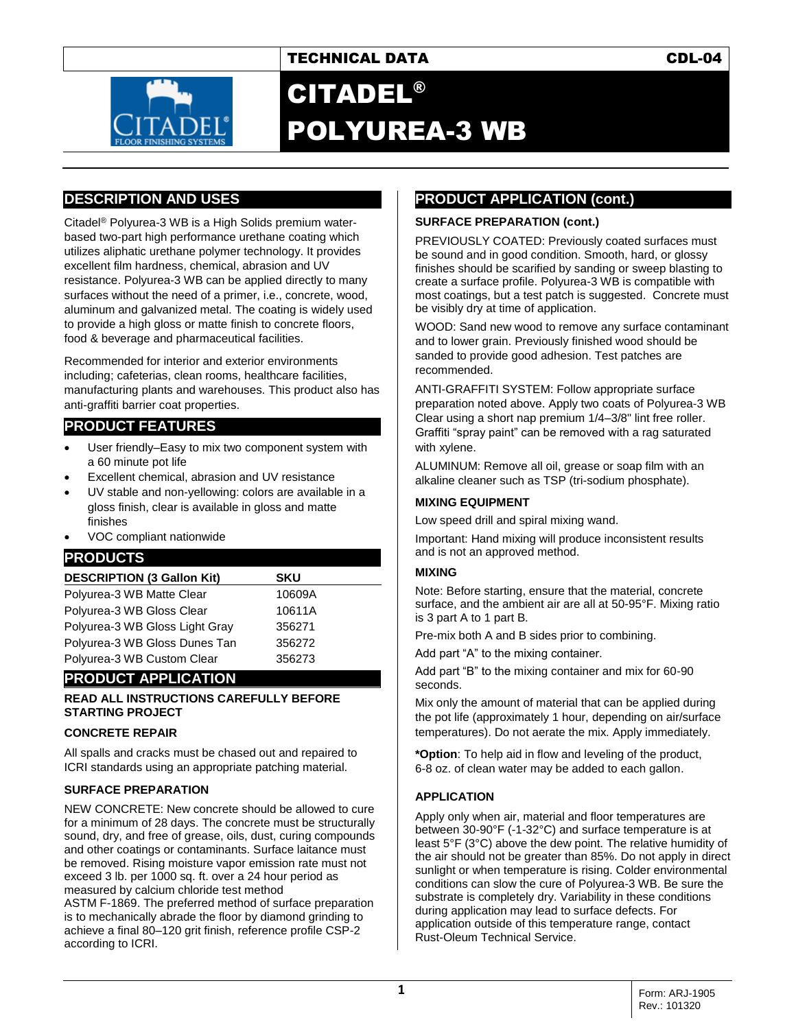# TECHNICAL DATA CDL-04



# CITADEL® POLYUREA-3 WB

## **DESCRIPTION AND USES**

Citadel® Polyurea-3 WB is a High Solids premium waterbased two-part high performance urethane coating which utilizes aliphatic urethane polymer technology. It provides excellent film hardness, chemical, abrasion and UV resistance. Polyurea-3 WB can be applied directly to many surfaces without the need of a primer, i.e., concrete, wood, aluminum and galvanized metal. The coating is widely used to provide a high gloss or matte finish to concrete floors, food & beverage and pharmaceutical facilities.

Recommended for interior and exterior environments including; cafeterias, clean rooms, healthcare facilities, manufacturing plants and warehouses. This product also has anti-graffiti barrier coat properties.

## **PRODUCT FEATURES**

- User friendly–Easy to mix two component system with a 60 minute pot life
- Excellent chemical, abrasion and UV resistance
- UV stable and non-yellowing: colors are available in a gloss finish, clear is available in gloss and matte finishes
- VOC compliant nationwide

### **PRODUCTS**

| <b>DESCRIPTION (3 Gallon Kit)</b> | <b>SKU</b> |
|-----------------------------------|------------|
| Polyurea-3 WB Matte Clear         | 10609A     |
| Polyurea-3 WB Gloss Clear         | 10611A     |
| Polyurea-3 WB Gloss Light Gray    | 356271     |
| Polyurea-3 WB Gloss Dunes Tan     | 356272     |
| Polyurea-3 WB Custom Clear        | 356273     |

# **PRODUCT APPLICATION**

#### **READ ALL INSTRUCTIONS CAREFULLY BEFORE STARTING PROJECT**

#### **CONCRETE REPAIR**

All spalls and cracks must be chased out and repaired to ICRI standards using an appropriate patching material.

#### **SURFACE PREPARATION**

NEW CONCRETE: New concrete should be allowed to cure for a minimum of 28 days. The concrete must be structurally sound, dry, and free of grease, oils, dust, curing compounds and other coatings or contaminants. Surface laitance must be removed. Rising moisture vapor emission rate must not exceed 3 lb. per 1000 sq. ft. over a 24 hour period as measured by calcium chloride test method

ASTM F-1869. The preferred method of surface preparation is to mechanically abrade the floor by diamond grinding to achieve a final 80–120 grit finish, reference profile CSP-2 according to ICRI.

# **PRODUCT APPLICATION (cont.)**

#### **SURFACE PREPARATION (cont.)**

PREVIOUSLY COATED: Previously coated surfaces must be sound and in good condition. Smooth, hard, or glossy finishes should be scarified by sanding or sweep blasting to create a surface profile. Polyurea-3 WB is compatible with most coatings, but a test patch is suggested. Concrete must be visibly dry at time of application.

WOOD: Sand new wood to remove any surface contaminant and to lower grain. Previously finished wood should be sanded to provide good adhesion. Test patches are recommended.

ANTI-GRAFFITI SYSTEM: Follow appropriate surface preparation noted above. Apply two coats of Polyurea-3 WB Clear using a short nap premium 1/4–3/8" lint free roller. Graffiti "spray paint" can be removed with a rag saturated with xylene.

ALUMINUM: Remove all oil, grease or soap film with an alkaline cleaner such as TSP (tri-sodium phosphate).

#### **MIXING EQUIPMENT**

Low speed drill and spiral mixing wand.

Important: Hand mixing will produce inconsistent results and is not an approved method.

#### **MIXING**

Note: Before starting, ensure that the material, concrete surface, and the ambient air are all at 50-95°F. Mixing ratio is 3 part A to 1 part B.

Pre-mix both A and B sides prior to combining.

Add part "A" to the mixing container.

Add part "B" to the mixing container and mix for 60-90 seconds.

Mix only the amount of material that can be applied during the pot life (approximately 1 hour, depending on air/surface temperatures). Do not aerate the mix. Apply immediately.

**\*Option**: To help aid in flow and leveling of the product, 6-8 oz. of clean water may be added to each gallon.

#### **APPLICATION**

Apply only when air, material and floor temperatures are between 30-90°F (-1-32°C) and surface temperature is at least 5°F (3°C) above the dew point. The relative humidity of the air should not be greater than 85%. Do not apply in direct sunlight or when temperature is rising. Colder environmental conditions can slow the cure of Polyurea-3 WB. Be sure the substrate is completely dry. Variability in these conditions during application may lead to surface defects. For application outside of this temperature range, contact Rust-Oleum Technical Service.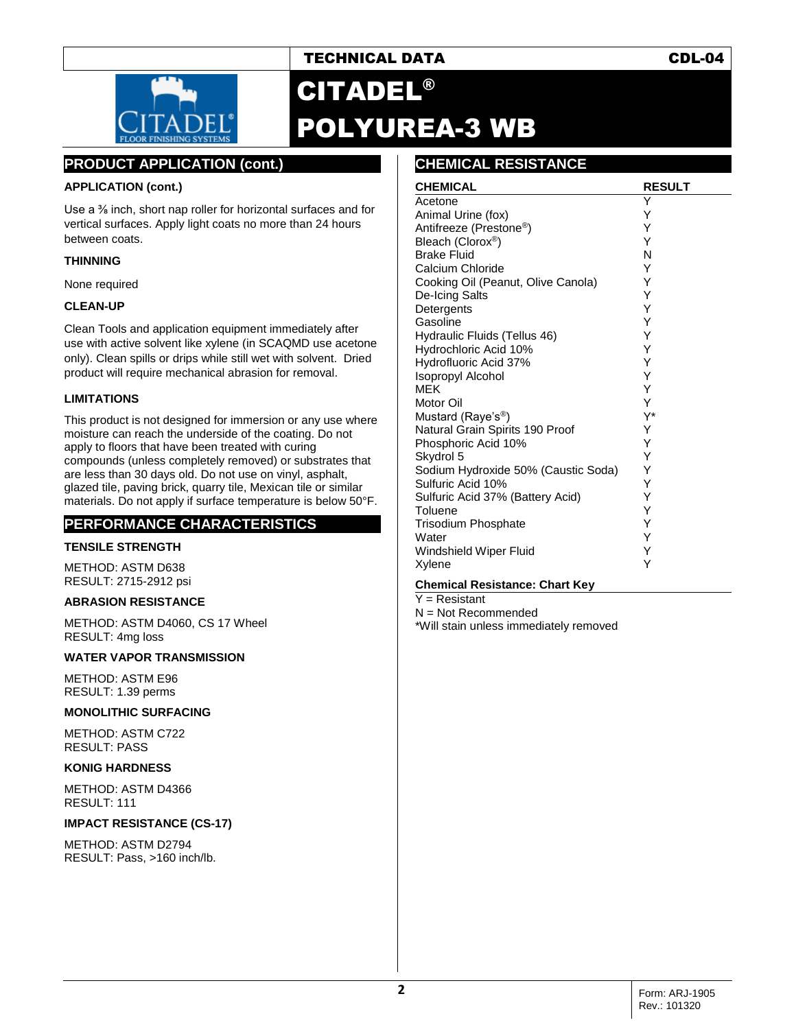## TECHNICAL DATA CDL-04



# CITADEL® POLYUREA-3 WB

## **PRODUCT APPLICATION (cont.)**

#### **APPLICATION (cont.)**

Use a <sup>3</sup>% inch, short nap roller for horizontal surfaces and for vertical surfaces. Apply light coats no more than 24 hours between coats.

#### **THINNING**

None required

#### **CLEAN-UP**

Clean Tools and application equipment immediately after use with active solvent like xylene (in SCAQMD use acetone only). Clean spills or drips while still wet with solvent. Dried product will require mechanical abrasion for removal.

#### **LIMITATIONS**

This product is not designed for immersion or any use where moisture can reach the underside of the coating. Do not apply to floors that have been treated with curing compounds (unless completely removed) or substrates that are less than 30 days old. Do not use on vinyl, asphalt, glazed tile, paving brick, quarry tile, Mexican tile or similar materials. Do not apply if surface temperature is below 50°F.

### **PERFORMANCE CHARACTERISTICS**

#### **TENSILE STRENGTH**

METHOD: ASTM D638 RESULT: 2715-2912 psi

#### **ABRASION RESISTANCE**

METHOD: ASTM D4060, CS 17 Wheel RESULT: 4mg loss

#### **WATER VAPOR TRANSMISSION**

METHOD: ASTM E96 RESULT: 1.39 perms

#### **MONOLITHIC SURFACING**

METHOD: ASTM C722 RESULT: PASS

#### **KONIG HARDNESS**

METHOD: ASTM D4366 RESULT: 111

#### **IMPACT RESISTANCE (CS-17)**

METHOD: ASTM D2794 RESULT: Pass, >160 inch/lb.

## **CHEMICAL RESISTANCE**

| <b>CHEMICAL</b>                     | <b>RESULT</b> |
|-------------------------------------|---------------|
| Acetone                             | Υ             |
| Animal Urine (fox)                  | Y             |
| Antifreeze (Prestone <sup>®</sup> ) | Υ             |
| Bleach (Clorox <sup>®</sup> )       | Υ             |
| <b>Brake Fluid</b>                  | N             |
| Calcium Chloride                    | Υ             |
| Cooking Oil (Peanut, Olive Canola)  | Υ             |
| De-Icing Salts                      | Υ             |
| Detergents                          | Υ             |
| Gasoline                            | Υ             |
| Hydraulic Fluids (Tellus 46)        | Υ             |
| Hydrochloric Acid 10%               | Υ             |
| Hydrofluoric Acid 37%               | Υ             |
| <b>Isopropyl Alcohol</b>            | Υ             |
| <b>MFK</b>                          | Υ             |
| Motor Oil                           | Υ             |
| Mustard (Raye's <sup>®</sup> )      | Y*            |
| Natural Grain Spirits 190 Proof     | Υ             |
| Phosphoric Acid 10%                 | Υ             |
| Skydrol 5                           | Υ             |
| Sodium Hydroxide 50% (Caustic Soda) | Υ             |
| Sulfuric Acid 10%                   | Υ             |
| Sulfuric Acid 37% (Battery Acid)    | Υ             |
| Toluene                             | Υ             |
| <b>Trisodium Phosphate</b>          | Υ             |
| Water                               | Υ             |
| Windshield Wiper Fluid              | Υ             |
| Xylene                              | Y             |

#### **Chemical Resistance: Chart Key**

 $Y =$ Resistant N = Not Recommended

\*Will stain unless immediately removed